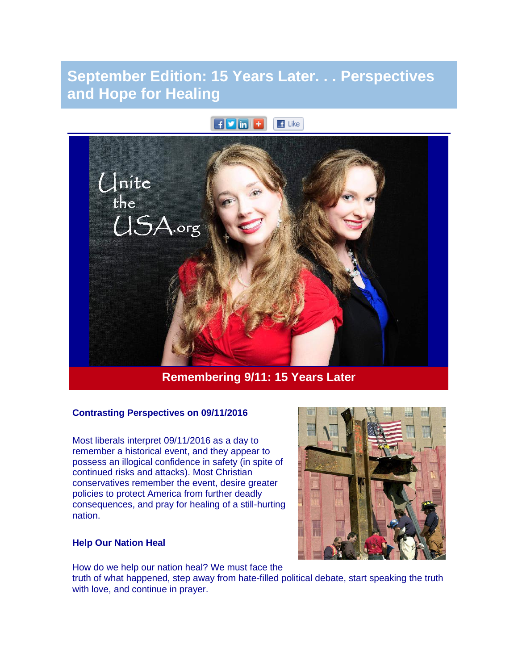# **September Edition: 15 Years Later. . . Perspectives and Hope for Healing**

#### $F$  in  $F$  $\blacksquare$  Like



### **Remembering 9/11: 15 Years Later**

#### **Contrasting Perspectives on 09/11/2016**

Most liberals interpret 09/11/2016 as a day to remember a historical event, and they appear to possess an illogical confidence in safety (in spite of continued risks and attacks). Most Christian conservatives remember the event, desire greater policies to protect America from further deadly consequences, and pray for healing of a still-hurting nation.

#### **Help Our Nation Heal**

How do we help our nation heal? We must face the

truth of what happened, step away from hate-filled political debate, start speaking the truth with love, and continue in prayer.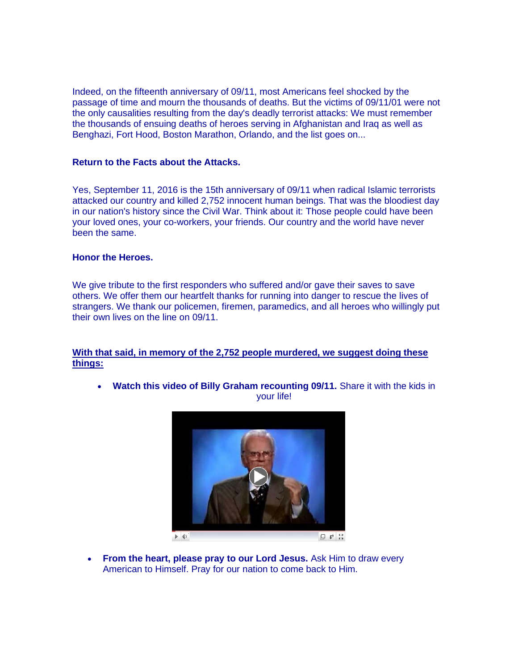Indeed, on the fifteenth anniversary of 09/11, most Americans feel shocked by the passage of time and mourn the thousands of deaths. But the victims of 09/11/01 were not the only causalities resulting from the day's deadly terrorist attacks: We must remember the thousands of ensuing deaths of heroes serving in Afghanistan and Iraq as well as Benghazi, Fort Hood, Boston Marathon, Orlando, and the list goes on...

#### **Return to the Facts about the Attacks.**

Yes, September 11, 2016 is the 15th anniversary of 09/11 when radical Islamic terrorists attacked our country and killed 2,752 innocent human beings. That was the bloodiest day in our nation's history since the Civil War. Think about it: Those people could have been your loved ones, your co-workers, your friends. Our country and the world have never been the same.

#### **Honor the Heroes.**

We give tribute to the first responders who suffered and/or gave their saves to save others. We offer them our heartfelt thanks for running into danger to rescue the lives of strangers. We thank our policemen, firemen, paramedics, and all heroes who willingly put their own lives on the line on 09/11.

#### **With that said, in memory of the 2,752 people murdered, we suggest doing these things:**

• **Watch this video of Billy Graham recounting 09/11.** Share it with the kids in your life!



 $\blacktriangleright$   $\blacklozenge$ 

 $\Box$   $\vec{v}^{\dagger}$   $\ddot{z}^{\dagger}_{\mathbf{x}}$ 

• **From the heart, please pray to our Lord Jesus.** Ask Him to draw every American to Himself. Pray for our nation to come back to Him.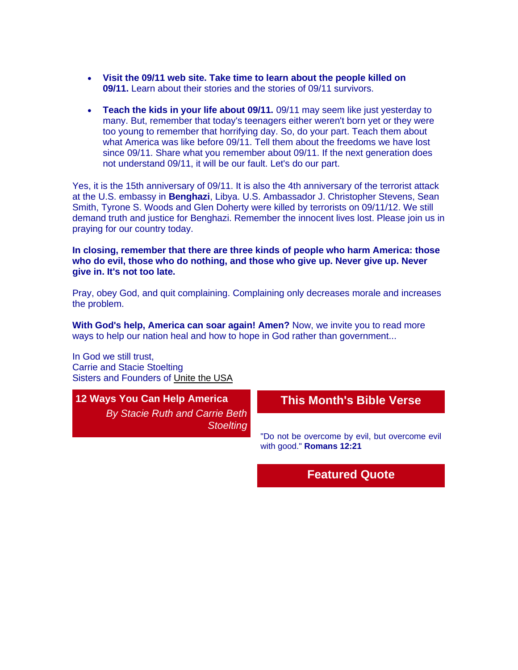- **Visit the 09/11 web site. Take time to learn about the people killed on 09/11.** Learn about their stories and the stories of 09/11 survivors.
- **Teach the kids in your life about 09/11.** 09/11 may seem like just yesterday to many. But, remember that today's teenagers either weren't born yet or they were too young to remember that horrifying day. So, do your part. Teach them about what America was like before 09/11. Tell them about the freedoms we have lost since 09/11. Share what you remember about 09/11. If the next generation does not understand 09/11, it will be our fault. Let's do our part.

Yes, it is the 15th anniversary of 09/11. It is also the 4th anniversary of the terrorist attack at the U.S. embassy in **Benghazi**, Libya. U.S. Ambassador J. Christopher Stevens, Sean Smith, Tyrone S. Woods and Glen Doherty were killed by terrorists on 09/11/12. We still demand truth and justice for Benghazi. Remember the innocent lives lost. Please join us in praying for our country today.

**In closing, remember that there are three kinds of people who harm America: those who do evil, those who do nothing, and those who give up. Never give up. Never give in. It's not too late.**

Pray, obey God, and quit complaining. Complaining only decreases morale and increases the problem.

**With God's help, America can soar again! Amen?** Now, we invite you to read more ways to help our nation heal and how to hope in God rather than government...

In God we still trust, Carrie and Stacie Stoelting Sisters and Founders of [Unite the USA](http://unitetheusa.org/index.html)

### **12 Ways You Can Help America**

*By Stacie Ruth and Carrie Beth Stoelting*

### **This Month's Bible Verse**

"Do not be overcome by evil, but overcome evil with good." **Romans 12:21**

### **Featured Quote**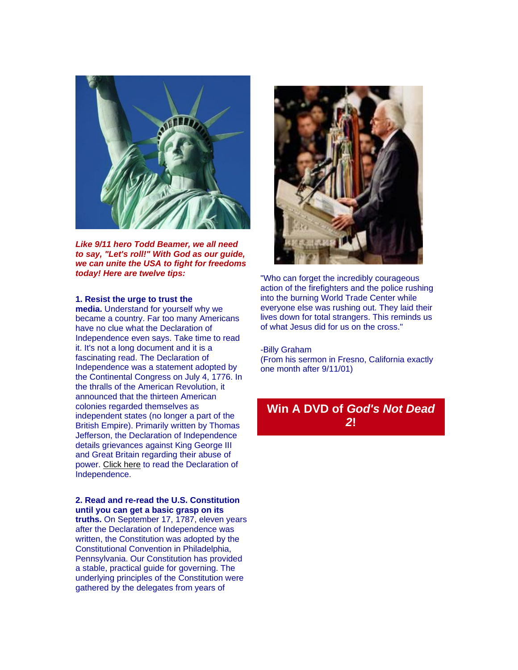

*Like 9/11 hero Todd Beamer, we all need to say, "Let's roll!" With God as our guide, we can unite the USA to fight for freedoms today! Here are twelve tips:*

#### **1. Resist the urge to trust the**

**media.** Understand for yourself why we became a country. Far too many Americans have no clue what the Declaration of Independence even says. Take time to read it. It's not a long document and it is a fascinating read. The Declaration of Independence was a statement adopted by the Continental Congress on July 4, 1776. In the thralls of the American Revolution, it announced that the thirteen American colonies regarded themselves as independent states (no longer a part of the British Empire). Primarily written by Thomas Jefferson, the Declaration of Independence details grievances against King George III and Great Britain regarding their abuse of power. [Click here](http://r20.rs6.net/tn.jsp?t=a8yadnyab.0.0.4h4hhncab.0&id=preview&r=3&p=http%3A%2F%2Fwww.wallbuilders.com%2FLIBissuesArticles.asp%3Fid%3D25685) to read the Declaration of Independence.

#### **2. Read and re-read the U.S. Constitution until you can get a basic grasp on its**

**truths.** On September 17, 1787, eleven years after the Declaration of Independence was written, the Constitution was adopted by the Constitutional Convention in Philadelphia, Pennsylvania. Our Constitution has provided a stable, practical guide for governing. The underlying principles of the Constitution were gathered by the delegates from years of



"Who can forget the incredibly courageous action of the firefighters and the police rushing into the burning World Trade Center while everyone else was rushing out. They laid their lives down for total strangers. This reminds us of what Jesus did for us on the cross."

#### -Billy Graham

(From his sermon in Fresno, California exactly one month after 9/11/01)

### **Win A DVD of** *God's Not Dead 2***!**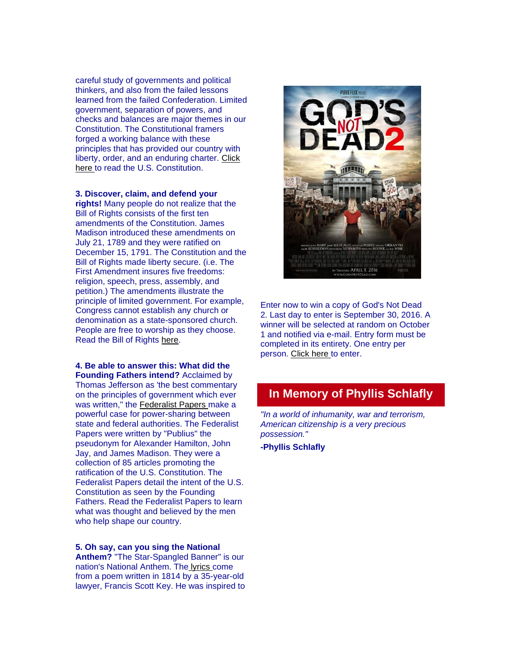careful study of governments and political thinkers, and also from the failed lessons learned from the failed Confederation. Limited government, separation of powers, and checks and balances are major themes in our Constitution. The Constitutional framers forged a working balance with these principles that has provided our country with liberty, order, and an enduring charter. [Click](http://www.wallbuilders.com/LIBissuesArticles.asp?id=36438)  [here](http://www.wallbuilders.com/LIBissuesArticles.asp?id=36438) to read the U.S. Constitution.

**3. Discover, claim, and defend your rights!** Many people do not realize that the Bill of Rights consists of the first ten amendments of the Constitution. James Madison introduced these amendments on July 21, 1789 and they were ratified on December 15, 1791. The Constitution and the Bill of Rights made liberty secure. (i.e. The First Amendment insures five freedoms: religion, speech, press, assembly, and petition.) The amendments illustrate the principle of limited government. For example, Congress cannot establish any church or denomination as a state-sponsored church. People are free to worship as they choose. Read the Bill of Rights [here.](http://www.archives.gov/exhibits/charters/bill_of_rights_transcript.html)

**4. Be able to answer this: What did the Founding Fathers intend?** Acclaimed by Thomas Jefferson as 'the best commentary on the principles of government which ever was written," the [Federalist Papers](http://r20.rs6.net/tn.jsp?t=a8yadnyab.0.0.4h4hhncab.0&id=preview&r=3&p=https%3A%2F%2Fwww.congress.gov%2Fresources%2Fdisplay%2Fcontent%2FThe%2BFederalist%2BPapers) make a powerful case for power-sharing between state and federal authorities. The Federalist Papers were written by "Publius" the pseudonym for Alexander Hamilton, John Jay, and James Madison. They were a collection of 85 articles promoting the ratification of the U.S. Constitution. The Federalist Papers detail the intent of the U.S. Constitution as seen by the Founding Fathers. Read the Federalist Papers to learn what was thought and believed by the men who help shape our country.

**5. Oh say, can you sing the National Anthem?** "The Star-Spangled Banner" is our nation's National Anthem. The [l](https://en.wikipedia.org/wiki/The_Star-Spangled_Banner#Lyrics)[yrics](http://r20.rs6.net/tn.jsp?t=a8yadnyab.0.0.4h4hhncab.0&id=preview&r=3&p=https%3A%2F%2Fen.wikipedia.org%2Fwiki%2FThe_Star-Spangled_Banner%23Lyrics) come from a poem written in 1814 by a 35-year-old lawyer, Francis Scott Key. He was inspired to



Enter now to win a copy of God's Not Dead 2. Last day to enter is September 30, 2016. A winner will be selected at random on October 1 and notified via e-mail. Entry form must be completed in its entirety. One entry per person. [Click here](http://unitetheusa.org/id143.html) to enter.

## **In Memory of Phyllis Schlafly**

*"In a world of inhumanity, war and terrorism, American citizenship is a very precious possession."*

**-Phyllis Schlafly**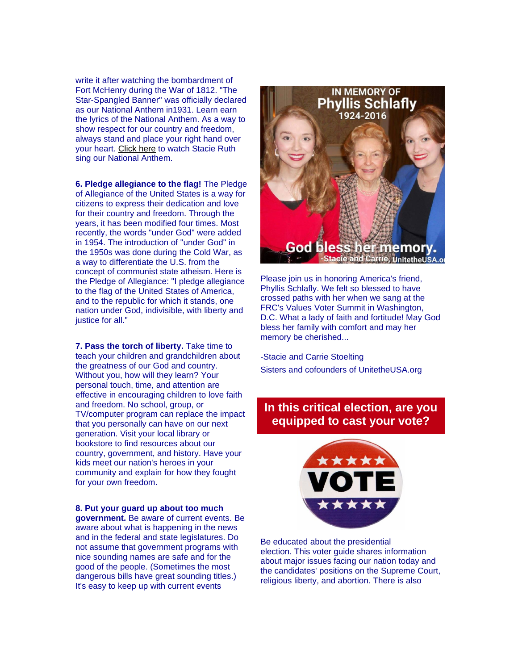write it after watching the bombardment of Fort McHenry during the War of 1812. "The Star-Spangled Banner" was officially declared as our National Anthem in1931. Learn earn the lyrics of the National Anthem. As a way to show respect for our country and freedom, always stand and place your right hand over your heart. [Click here](http://r20.rs6.net/tn.jsp?t=a8yadnyab.0.0.4h4hhncab.0&id=preview&r=3&p=https%3A%2F%2Fwww.youtube.com%2Fwatch%3Fv%3DNr7cYMYD944undefined) to watch Stacie Ruth sing our National Anthem.

**6. Pledge allegiance to the flag!** The Pledge of Allegiance of the United States is a way for citizens to express their dedication and love for their country and freedom. Through the years, it has been modified four times. Most recently, the words "under God" were added in 1954. The introduction of "under God" in the 1950s was done during the Cold War, as a way to differentiate the U.S. from the concept of communist state atheism. Here is the Pledge of Allegiance: "I pledge allegiance to the flag of the United States of America, and to the republic for which it stands, one nation under God, indivisible, with liberty and justice for all."

**7. Pass the torch of liberty.** Take time to teach your children and grandchildren about the greatness of our God and country. Without you, how will they learn? Your personal touch, time, and attention are effective in encouraging children to love faith and freedom. No school, group, or TV/computer program can replace the impact that you personally can have on our next generation. Visit your local library or bookstore to find resources about our country, government, and history. Have your kids meet our nation's heroes in your community and explain for how they fought for your own freedom.

**8. Put your guard up about too much government.** Be aware of current events. Be aware about what is happening in the news and in the federal and state legislatures. Do not assume that government programs with nice sounding names are safe and for the good of the people. (Sometimes the most dangerous bills have great sounding titles.) It's easy to keep up with current events



Please join us in honoring America's friend, Phyllis Schlafly. We felt so blessed to have crossed paths with her when we sang at the FRC's Values Voter Summit in Washington, D.C. What a lady of faith and fortitude! May God bless her family with comfort and may her memory be cherished...

-Stacie and Carrie Stoelting Sisters and cofounders of UnitetheUSA.org

### **In this critical election, are you equipped to cast your vote?**



Be educated about the presidential election. This voter quide shares information about major issues facing our nation today and the candidates' positions on the Supreme Court, religious liberty, and abortion. There is also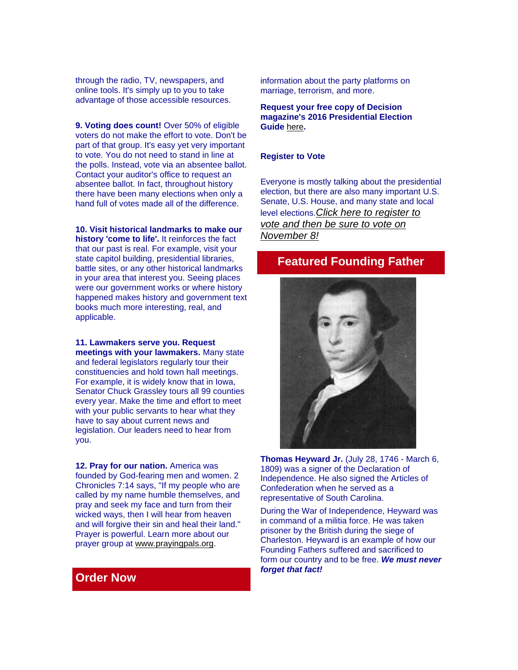through the radio, TV, newspapers, and online tools. It's simply up to you to take advantage of those accessible resources.

**9. Voting does count!** Over 50% of eligible voters do not make the effort to vote. Don't be part of that group. It's easy yet very important to vote. You do not need to stand in line at the polls. Instead, vote via an absentee ballot. Contact your auditor's office to request an absentee ballot. In fact, throughout history there have been many elections when only a hand full of votes made all of the difference.

**10. Visit historical landmarks to make our history 'come to life'.** It reinforces the fact that our past is real. For example, visit your state capitol building, presidential libraries, battle sites, or any other historical landmarks in your area that interest you. Seeing places were our government works or where history happened makes history and government text books much more interesting, real, and applicable.

**11. Lawmakers serve you. Request meetings with your lawmakers.** Many state and federal legislators regularly tour their constituencies and hold town hall meetings. For example, it is widely know that in Iowa, Senator Chuck Grassley tours all 99 counties every year. Make the time and effort to meet with your public servants to hear what they have to say about current news and legislation. Our leaders need to hear from you.

**12. Pray for our nation.** America was founded by God-fearing men and women. 2 Chronicles 7:14 says, "If my people who are called by my name humble themselves, and pray and seek my face and turn from their wicked ways, then I will hear from heaven and will forgive their sin and heal their land." Prayer is powerful. Learn more about our prayer group at [www.prayingpals.org.](http://www.prayingpals.org/)

information about the party platforms on marriage, terrorism, and more.

**Request your free copy of Decision magazine's 2016 Presidential Election Guide** [here](http://r20.rs6.net/tn.jsp?t=a8yadnyab.0.0.4h4hhncab.0&id=preview&r=3&p=https%3A%2F%2Flp.billygraham.org%2Fdecision-magazine-2016-electoral-guide%2F%3Futm_source%3DFG%2Bfacebook%26utm_medium%3Dpost%26utm_campaign%3DFG%2BGeneral%2BPost%26utm_content%3DFG%2BFB%2Bpage%2BBD160YFEG%26SOURCE%3DBD160YFEG)**.**

#### **Register to Vote**

Everyone is mostly talking about the presidential election, but there are also many important U.S. Senate, U.S. House, and many state and local level elections.*Click here [to register to](http://r20.rs6.net/tn.jsp?t=a8yadnyab.0.0.4h4hhncab.0&id=preview&r=3&p=https%3A%2F%2Fwww.usa.gov%2Fvoter-registration-deadlines)  [vote and then be sure to vote on](http://r20.rs6.net/tn.jsp?t=a8yadnyab.0.0.4h4hhncab.0&id=preview&r=3&p=https%3A%2F%2Fwww.usa.gov%2Fvoter-registration-deadlines)  [November 8!](http://r20.rs6.net/tn.jsp?t=a8yadnyab.0.0.4h4hhncab.0&id=preview&r=3&p=https%3A%2F%2Fwww.usa.gov%2Fvoter-registration-deadlines)*

### **Featured Founding Father**



**Thomas Heyward Jr.** (July 28, 1746 - March 6, 1809) was a signer of the Declaration of Independence. He also signed the Articles of Confederation when he served as a representative of South Carolina.

During the War of Independence, Heyward was in command of a militia force. He was taken prisoner by the British during the siege of Charleston. Heyward is an example of how our Founding Fathers suffered and sacrificed to form our country and to be free. *We must never forget that fact!*

### **Order Now**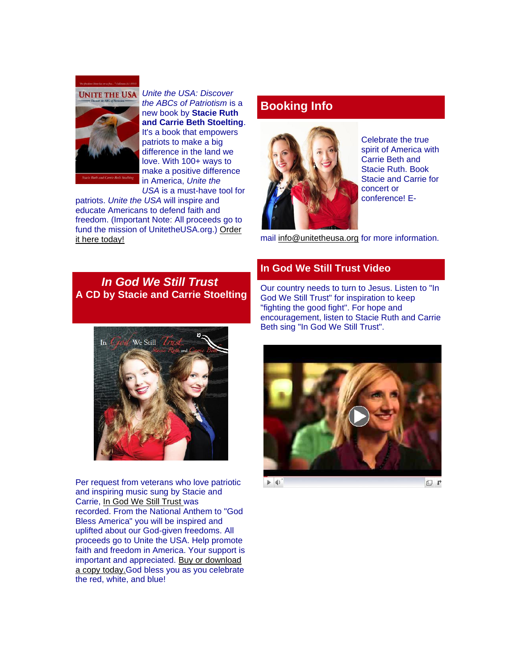



*Unite the USA: Discover the ABCs of Patriotism* is a new book by **Stacie Ruth and Carrie Beth Stoelting**. It's a book that empowers patriots to make a big difference in the land we love. With 100+ ways to make a positive difference in America, *Unite the USA* is a must-have tool for

patriots. *Unite the USA* will inspire and educate Americans to defend faith and freedom. (Important Note: All proceeds go to fund the mission of UnitetheUSA.org.) [Order](http://r20.rs6.net/tn.jsp?t=a8yadnyab.0.0.4h4hhncab.0&id=preview&r=3&p=http%3A%2F%2Funitetheusa.org%2Fid56.html)  [it here today!](http://r20.rs6.net/tn.jsp?t=a8yadnyab.0.0.4h4hhncab.0&id=preview&r=3&p=http%3A%2F%2Funitetheusa.org%2Fid56.html)

### **Booking Info**



Celebrate the true spirit of America with Carrie Beth and Stacie Ruth. Book Stacie and Carrie for concert or conference! E-

mail [info@unitetheusa.org](http://unitetheusa.org/id156.html) for more information.

*In God We Still Trust* **A CD by Stacie and Carrie Stoelting**

### **In God We Still Trust Video**

Our country needs to turn to Jesus. Listen to "In God We Still Trust" for inspiration to keep "fighting the good fight". For hope and encouragement, listen to Stacie Ruth and Carrie Beth sing "In God We Still Trust".



Per request from veterans who love patriotic and inspiring music sung by Stacie and Carrie, [In God We Still Trust](http://r20.rs6.net/tn.jsp?t=a8yadnyab.0.0.4h4hhncab.0&id=preview&r=3&p=http%3A%2F%2Funitetheusa.org%2Fid56.html) was recorded. From the National Anthem to "God Bless America" you will be inspired and uplifted about our God-given freedoms. All proceeds go to Unite the USA. Help promote faith and freedom in America. Your support is important and appreciated. [Buy or download](http://unitetheusa.org/id56.html)  [a copy today.G](http://unitetheusa.org/id56.html)od bless you as you celebrate the red, white, and blue!



 $\blacktriangleright \blacktriangleleft$ 

□ ₽